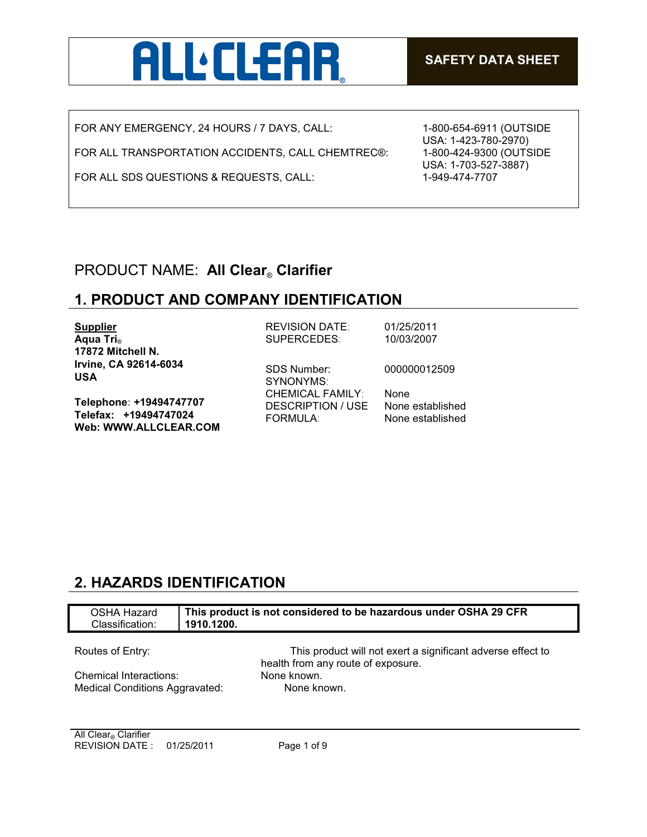

FOR ANY EMERGENCY, 24 HOURS / 7 DAYS, CALL:

FOR ALL TRANSPORTATION ACCIDENTS, CALL CHEMTREC®:

FOR ALL SDS QUESTIONS & REQUESTS, CALL:

1-800-654-6911 (OUTSIDE USA: 1-423-780-2970) 1-800-424-9300 (OUTSIDE USA: 1-703-527-3887) 1-949-474-7707

# PRODUCT NAME: **All Clear**® **Clarifier**

## **1. PRODUCT AND COMPANY IDENTIFICATION**

| <b>Supplier</b>                                                           | <b>REVISION DATE:</b>                                      | 01/25/2011                           |
|---------------------------------------------------------------------------|------------------------------------------------------------|--------------------------------------|
| Aqua Tri <sub>®</sub>                                                     | SUPERCEDES:                                                | 10/03/2007                           |
| 17872 Mitchell N.                                                         |                                                            |                                      |
| Irvine, CA 92614-6034<br><b>USA</b>                                       | <b>SDS Number:</b><br>SYNONYMS:<br><b>CHEMICAL FAMILY:</b> | 000000012509<br>None                 |
| Telephone: +19494747707<br>Telefax: +19494747024<br>Web: WWW.ALLCLEAR.COM | DESCRIPTION / USE<br><b>FORMULA:</b>                       | None established<br>None established |

# **2. HAZARDS IDENTIFICATION**

| OSHA Hazard<br>Classification: | This product is not considered to be hazardous under OSHA 29 CFR<br>1910.1200. |
|--------------------------------|--------------------------------------------------------------------------------|
| Routes of Entry:               | This product will not exert a significant adverse effect to                    |
| Chemical Interactions:         | health from any route of exposure.<br>None known.                              |
| Medical Conditions Aggravated: | None known.                                                                    |
|                                |                                                                                |

**All Clear® Clarifier** REVISION DATE : 01/25/2011 Page 1 of 9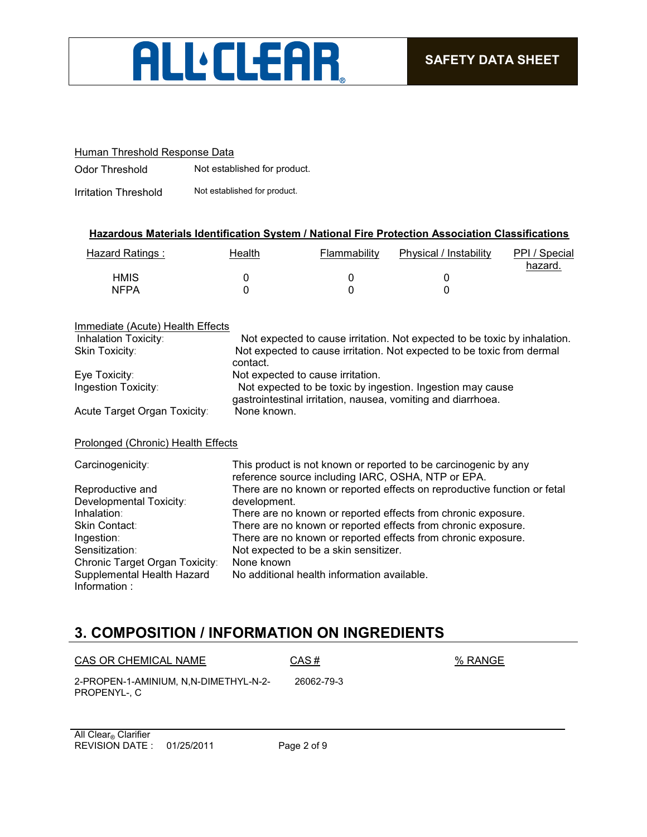

### Human Threshold Response Data

Odor Threshold Not established for product.

Irritation Threshold Not established for product.

### **Hazardous Materials Identification System / National Fire Protection Association Classifications**

| Hazard Ratings: | Health | Flammability | Physical / Instability | PPI / Special<br>hazard. |
|-----------------|--------|--------------|------------------------|--------------------------|
| <b>HMIS</b>     |        |              |                        |                          |
| <b>NFPA</b>     |        |              |                        |                          |

#### Immediate (Acute) Health Effects Inhalation Toxicity: Not expected to cause irritation. Not expected to be toxic by inhalation. Skin Toxicity: Not expected to cause irritation. Not expected to be toxic from dermal contact. Eye Toxicity: Not expected to cause irritation. Ingestion Toxicity: Not expected to be toxic by ingestion. Ingestion may cause gastrointestinal irritation, nausea, vomiting and diarrhoea. Acute Target Organ Toxicity: None known. Prolonged (Chronic) Health Effects Carcinogenicity: This product is not known or reported to be carcinogenic by any reference source including IARC, OSHA, NTP or EPA. Reproductive and Developmental Toxicity: There are no known or reported effects on reproductive function or fetal development. Inhalation: There are no known or reported effects from chronic exposure. Skin Contact: There are no known or reported effects from chronic exposure. Ingestion: There are no known or reported effects from chronic exposure. Sensitization: Not expected to be a skin sensitizer. Chronic Target Organ Toxicity: None known Supplemental Health Hazard No additional health information available.

# **3. COMPOSITION / INFORMATION ON INGREDIENTS**

| CAS OR CHEMICAL NAME                                  | CAS#       | % RANGE |
|-------------------------------------------------------|------------|---------|
| 2-PROPEN-1-AMINIUM. N.N-DIMETHYL-N-2-<br>PROPENYL-. C | 26062-79-3 |         |

REVISION DATE : 01/25/2011 Page 2 of 9 **All Clear® Clarifier** 

Information :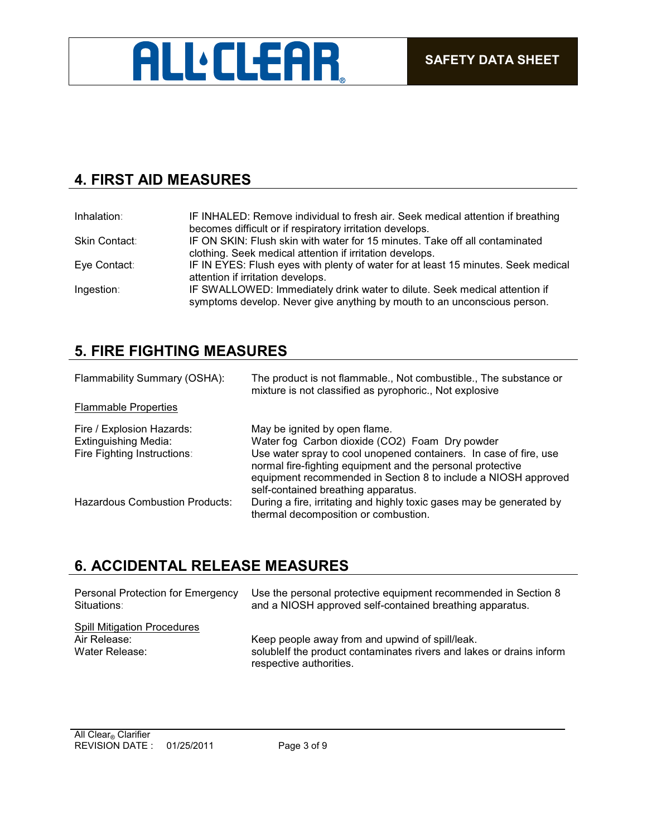

# **4. FIRST AID MEASURES**

| Inhalation:   | IF INHALED: Remove individual to fresh air. Seek medical attention if breathing<br>becomes difficult or if respiratory irritation develops.            |
|---------------|--------------------------------------------------------------------------------------------------------------------------------------------------------|
| Skin Contact: | IF ON SKIN: Flush skin with water for 15 minutes. Take off all contaminated<br>clothing. Seek medical attention if irritation develops.                |
| Eye Contact:  | IF IN EYES: Flush eyes with plenty of water for at least 15 minutes. Seek medical<br>attention if irritation develops.                                 |
| Ingestion:    | IF SWALLOWED: Immediately drink water to dilute. Seek medical attention if<br>symptoms develop. Never give anything by mouth to an unconscious person. |

# **5. FIRE FIGHTING MEASURES**

| Flammability Summary (OSHA):                                                            | The product is not flammable., Not combustible., The substance or<br>mixture is not classified as pyrophoric., Not explosive                                                                                                                                                                                                |
|-----------------------------------------------------------------------------------------|-----------------------------------------------------------------------------------------------------------------------------------------------------------------------------------------------------------------------------------------------------------------------------------------------------------------------------|
| <b>Flammable Properties</b>                                                             |                                                                                                                                                                                                                                                                                                                             |
| Fire / Explosion Hazards:<br><b>Extinguishing Media:</b><br>Fire Fighting Instructions: | May be ignited by open flame.<br>Water fog Carbon dioxide (CO2) Foam Dry powder<br>Use water spray to cool unopened containers. In case of fire, use<br>normal fire-fighting equipment and the personal protective<br>equipment recommended in Section 8 to include a NIOSH approved<br>self-contained breathing apparatus. |
| <b>Hazardous Combustion Products:</b>                                                   | During a fire, irritating and highly toxic gases may be generated by<br>thermal decomposition or combustion.                                                                                                                                                                                                                |

## **6. ACCIDENTAL RELEASE MEASURES**

| Personal Protection for Emergency  | Use the personal protective equipment recommended in Section 8       |
|------------------------------------|----------------------------------------------------------------------|
| Situations:                        | and a NIOSH approved self-contained breathing apparatus.             |
| <b>Spill Mitigation Procedures</b> | Keep people away from and upwind of spill/leak.                      |
| Air Release:                       | solublelf the product contaminates rivers and lakes or drains inform |
| Water Release:                     | respective authorities.                                              |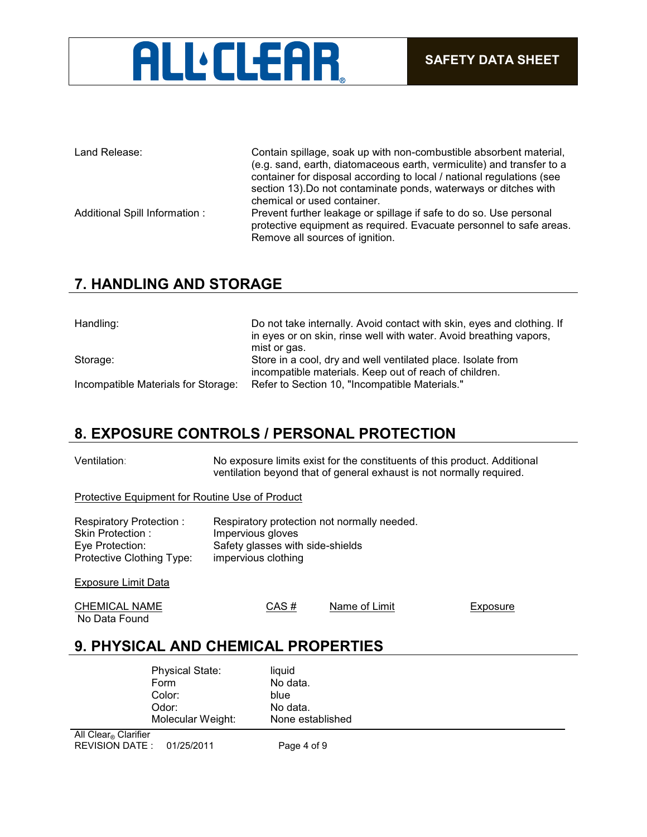# **ALL'CLEAR**

| Land Release:                  | Contain spillage, soak up with non-combustible absorbent material,<br>(e.g. sand, earth, diatomaceous earth, vermiculite) and transfer to a<br>container for disposal according to local / national regulations (see<br>section 13). Do not contaminate ponds, waterways or ditches with<br>chemical or used container. |
|--------------------------------|-------------------------------------------------------------------------------------------------------------------------------------------------------------------------------------------------------------------------------------------------------------------------------------------------------------------------|
| Additional Spill Information : | Prevent further leakage or spillage if safe to do so. Use personal<br>protective equipment as required. Evacuate personnel to safe areas.<br>Remove all sources of ignition.                                                                                                                                            |

# **7. HANDLING AND STORAGE**

| Handling:                           | Do not take internally. Avoid contact with skin, eyes and clothing. If<br>in eyes or on skin, rinse well with water. Avoid breathing vapors,<br>mist or gas. |
|-------------------------------------|--------------------------------------------------------------------------------------------------------------------------------------------------------------|
| Storage:                            | Store in a cool, dry and well ventilated place. Isolate from<br>incompatible materials. Keep out of reach of children.                                       |
| Incompatible Materials for Storage: | Refer to Section 10, "Incompatible Materials."                                                                                                               |

## **8. EXPOSURE CONTROLS / PERSONAL PROTECTION**

Ventilation: No exposure limits exist for the constituents of this product. Additional ventilation beyond that of general exhaust is not normally required.

Protective Equipment for Routine Use of Product

| Respiratory Protection:   | Respiratory protection not normally needed. |
|---------------------------|---------------------------------------------|
| Skin Protection:          | Impervious gloves                           |
| Eye Protection:           | Safety glasses with side-shields            |
| Protective Clothing Type: | impervious clothing                         |
|                           |                                             |
| Exposure Limit Data       |                                             |

| <b>CHEMICAL NAME</b> | CAS# | Name of Limit | Exposure |
|----------------------|------|---------------|----------|
| No Data Found        |      |               |          |

# **9. PHYSICAL AND CHEMICAL PROPERTIES**

|   | <b>Physical State:</b><br>Form<br>Color:<br>Odor:<br>Molecular Weight: | liquid<br>No data.<br>blue<br>No data.<br>None established |
|---|------------------------------------------------------------------------|------------------------------------------------------------|
| . |                                                                        |                                                            |

REVISION DATE : 01/25/2011 Page 4 of 9 **All Clear® Clarifier**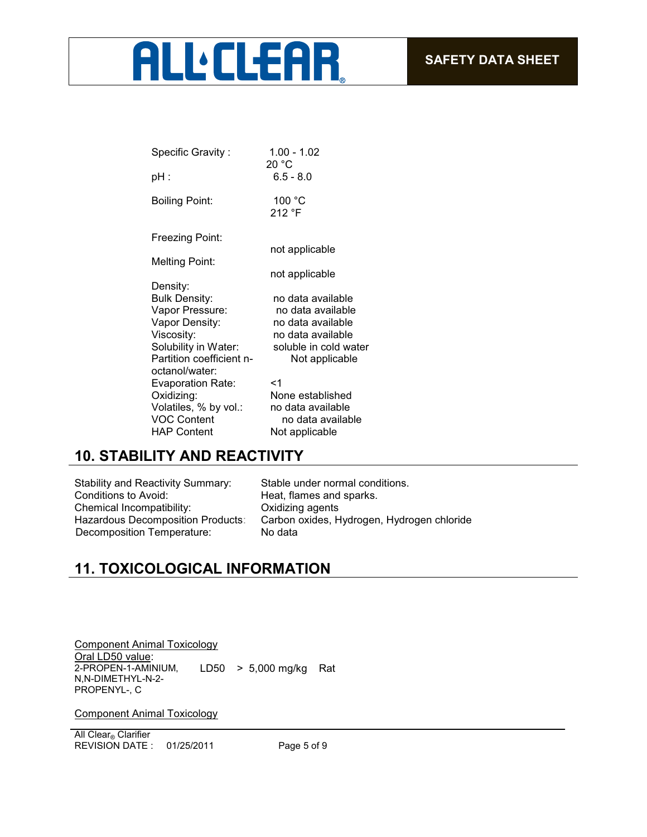# **ALL** CLEAR

| Specific Gravity:        | 1.00 - 1.02<br>20 °C  |
|--------------------------|-----------------------|
| pH :                     | $6.5 - 8.0$           |
| Boiling Point:           | 100 °C<br>212 °F      |
| Freezing Point:          |                       |
| <b>Melting Point:</b>    | not applicable        |
|                          | not applicable        |
| Density:                 |                       |
| <b>Bulk Density:</b>     | no data available     |
| Vapor Pressure:          | no data available     |
| Vapor Density:           | no data available     |
| Viscosity:               | no data available     |
| Solubility in Water:     | soluble in cold water |
| Partition coefficient n- | Not applicable        |
| octanol/water:           |                       |
| <b>Evaporation Rate:</b> | <1                    |
| Oxidizing:               | None established      |
| Volatiles, % by vol.:    | no data available     |
| <b>VOC Content</b>       | no data available     |
| <b>HAP Content</b>       | Not applicable        |
|                          |                       |

# **10. STABILITY AND REACTIVITY**

| Stable under nor        |
|-------------------------|
| Heat, flames and        |
| Oxidizing agents        |
| Carbon oxides, <b>H</b> |
| No data                 |
|                         |

normal conditions. and sparks. s, Hydrogen, Hydrogen chloride

# **11. TOXICOLOGICAL INFORMATION**

Component Animal Toxicology Oral LD50 value: 2-PROPEN-1-AMINIUM, N,N-DIMETHYL-N-2- PROPENYL-, C LD50 > 5,000 mg/kg Rat

Component Animal Toxicology

REVISION DATE : 01/25/2011 Page 5 of 9 **All Clear® Clarifier**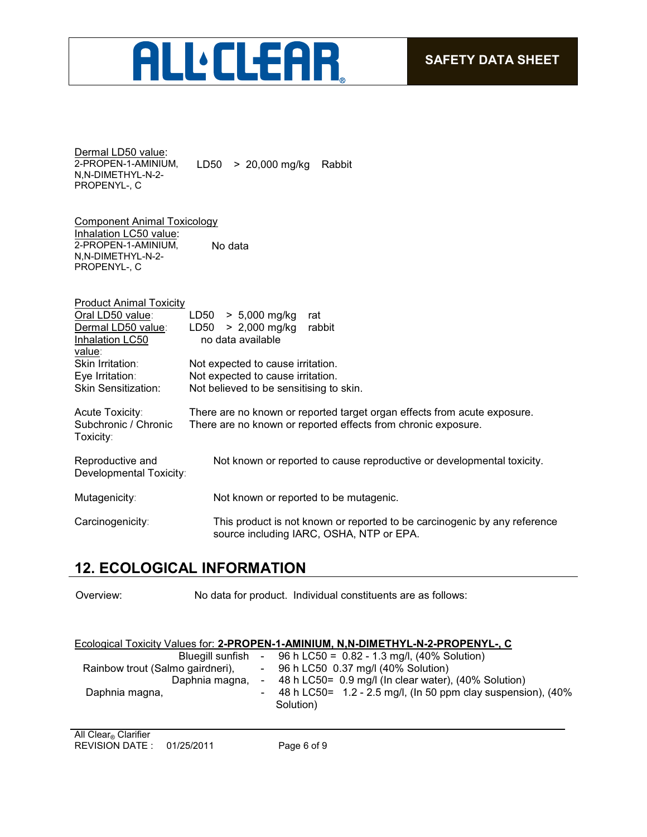# ALL'ELEAR

Dermal LD50 value: 2-PROPEN-1-AMINIUM, N,N-DIMETHYL-N-2- PROPENYL-, C LD50 > 20,000 mg/kg Rabbit

Component Animal Toxicology Inhalation LC50 value: 2-PROPEN-1-AMINIUM, N,N-DIMETHYL-N-2- PROPENYL-, C No data

| <b>Product Animal Toxicity</b> |                                                                           |
|--------------------------------|---------------------------------------------------------------------------|
| Oral LD50 value:               | $> 5,000$ mg/kg<br>LD50<br>rat                                            |
| Dermal LD50 value:             | $> 2,000$ mg/kg<br>rabbit<br>LD50                                         |
| Inhalation LC50                | no data available                                                         |
| value:                         |                                                                           |
| Skin Irritation:               | Not expected to cause irritation.                                         |
| Eve Irritation:                | Not expected to cause irritation.                                         |
| <b>Skin Sensitization:</b>     | Not believed to be sensitising to skin.                                   |
|                                |                                                                           |
| Acute Toxicity:                | There are no known or reported target organ effects from acute exposure.  |
| Subchronic / Chronic           | There are no known or reported effects from chronic exposure.             |
| Toxicity:                      |                                                                           |
| Reproductive and               | Not known or reported to cause reproductive or developmental toxicity.    |
| Developmental Toxicity:        |                                                                           |
|                                |                                                                           |
| Mutagenicity:                  | Not known or reported to be mutagenic.                                    |
|                                |                                                                           |
| Carcinogenicity:               | This product is not known or reported to be carcinogenic by any reference |
|                                | source including IARC, OSHA, NTP or EPA.                                  |

# **12. ECOLOGICAL INFORMATION**

Overview: No data for product. Individual constituents are as follows:

| Ecological Toxicity Values for: 2-PROPEN-1-AMINIUM, N,N-DIMETHYL-N-2-PROPENYL-, C |  |
|-----------------------------------------------------------------------------------|--|
|                                                                                   |  |

| Bluegill sunfish                 | - 96 h LC50 = $0.82 - 1.3$ mg/l, (40% Solution)                           |
|----------------------------------|---------------------------------------------------------------------------|
| Rainbow trout (Salmo gairdneri), | $-$ 96 h LC50 0.37 mg/l (40% Solution)                                    |
| Daphnia magna,                   | $-48$ h LC50= 0.9 mg/l (In clear water), (40% Solution)                   |
| Daphnia magna,                   | 48 h LC50= 1.2 - 2.5 mg/l, (ln 50 ppm clay suspension), (40%<br>Solution) |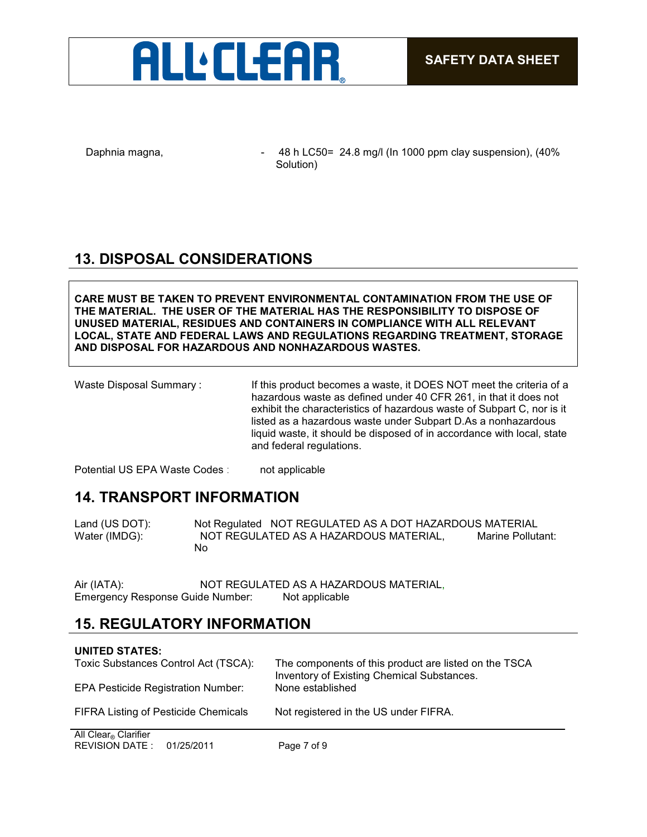

Daphnia magna,  $\frac{48h}{1000}$  - 48 h LC50= 24.8 mg/l (In 1000 ppm clay suspension), (40% Solution)

# **13. DISPOSAL CONSIDERATIONS**

**CARE MUST BE TAKEN TO PREVENT ENVIRONMENTAL CONTAMINATION FROM THE USE OF THE MATERIAL. THE USER OF THE MATERIAL HAS THE RESPONSIBILITY TO DISPOSE OF UNUSED MATERIAL, RESIDUES AND CONTAINERS IN COMPLIANCE WITH ALL RELEVANT LOCAL, STATE AND FEDERAL LAWS AND REGULATIONS REGARDING TREATMENT, STORAGE AND DISPOSAL FOR HAZARDOUS AND NONHAZARDOUS WASTES.** 

| Waste Disposal Summary: | If this product becomes a waste, it DOES NOT meet the criteria of a<br>hazardous waste as defined under 40 CFR 261, in that it does not |
|-------------------------|-----------------------------------------------------------------------------------------------------------------------------------------|
|                         | exhibit the characteristics of hazardous waste of Subpart C, nor is it<br>listed as a hazardous waste under Subpart D.As a nonhazardous |
|                         | liquid waste, it should be disposed of in accordance with local, state<br>and federal regulations.                                      |

Potential US EPA Waste Codes : not applicable

## **14. TRANSPORT INFORMATION**

Land (US DOT): Not Regulated NOT REGULATED AS A DOT HAZARDOUS MATERIAL Water (IMDG): NOT REGULATED AS A HAZARDOUS MATERIAL, Marine Pollutant: No

Air (IATA): NOT REGULATED AS A HAZARDOUS MATERIAL, Emergency Response Guide Number: Not applicable

## **15. REGULATORY INFORMATION**

## **UNITED STATES:** Toxic Substances Control Act (TSCA): The components of this product are listed on the TSCA Inventory of Existing Chemical Substances.<br>None established EPA Pesticide Registration Number: FIFRA Listing of Pesticide Chemicals Not registered in the US under FIFRA. **All Clear® Clarifier**

REVISION DATE : 01/25/2011 Page 7 of 9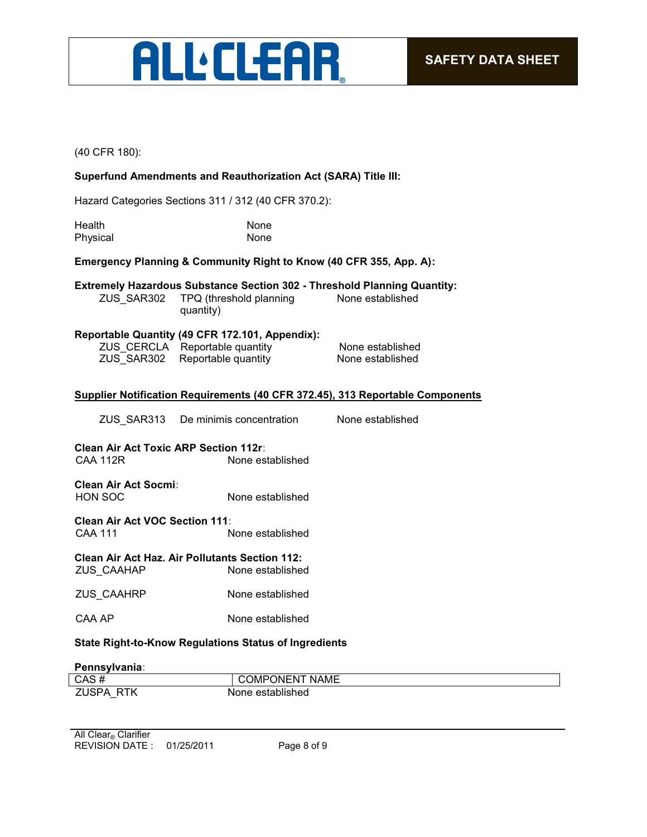

(40 CFR 180):

## **Superfund Amendments and Reauthorization Act (SARA) Title III:**

Hazard Categories Sections 311 / 312 (40 CFR 370.2):

| Health   | <b>None</b> |
|----------|-------------|
| Physical | None        |

### **Emergency Planning & Community Right to Know (40 CFR 355, App. A):**

|            |                         | <b>Extremely Hazardous Substance Section 302 - Threshold Planning Quantity:</b> |
|------------|-------------------------|---------------------------------------------------------------------------------|
| ZUS SAR302 | TPQ (threshold planning | None established                                                                |

ZUS\_SAR302 TPQ (threshold planning quantity)

### **Reportable Quantity (49 CFR 172.101, Appendix):**

ZUS\_CERCLA Reportable quantity None established ZUS\_SAR302 Reportable quantity None established

### **Supplier Notification Requirements (40 CFR 372.45), 313 Reportable Components**

| ZUS SAR313 | De minimis concentration | None established |
|------------|--------------------------|------------------|
|            |                          |                  |

**Clean Air Act Toxic ARP Section 112r:** CAA 112R None established

**Clean Air Act Socmi:** HON SOC None established

**Clean Air Act VOC Section 111:** CAA 111 None established

**Clean Air Act Haz. Air Pollutants Section 112:** ZUS\_CAAHAP

ZUS CAAHRP None established

CAA AP None established

### **State Right-to-Know Regulations Status of Ingredients**

#### **Pennsylvania:**

| CAS#           | T NAME<br><b>COMPONENT</b> |
|----------------|----------------------------|
| 7I ISPA<br>RTK | None established           |